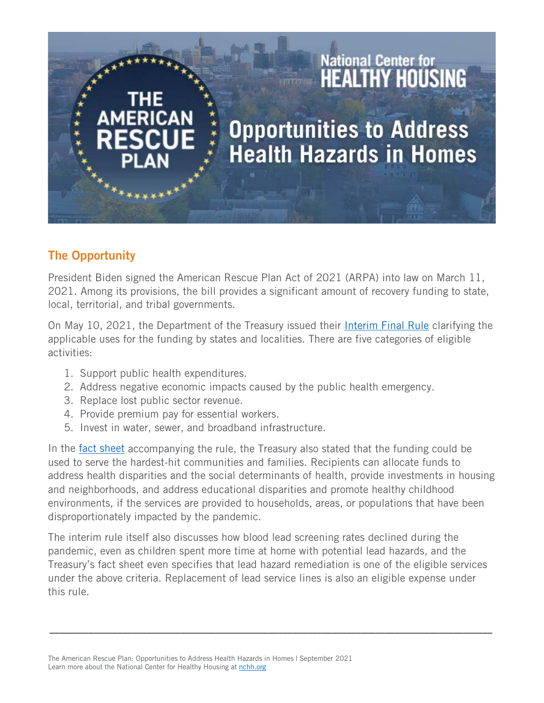## National Center for<br>**HEALTHY HOUSING Opportunities to Address Health Hazards in Homes**

## The Opportunity

President Biden signed the American Rescue Plan Act of 2021 (ARPA) into law on March 11, 2021. Among its provisions, the bill provides a significant amount of recovery funding to state, local, territorial, and tribal governments.

On May 10, 2021, the Department of the Treasury issued their [Interim Final Rule](https://home.treasury.gov/policy-issues/coronavirus/assistance-for-state-local-and-tribal-governments/state-and-local-fiscal-recovery-funds) clarifying the applicable uses for the funding by states and localities. There are five categories of eligible activities:

- 1. Support public health expenditures.
- 2. Address negative economic impacts caused by the public health emergency.
- 3. Replace lost public sector revenue.
- 4. Provide premium pay for essential workers.
- 5. Invest in water, sewer, and broadband infrastructure.

In the [fact sheet](https://home.treasury.gov/system/files/136/SLFRP-Fact-Sheet-FINAL1-508A.pdf) accompanying the rule, the Treasury also stated that the funding could be used to serve the hardest-hit communities and families. Recipients can allocate funds to address health disparities and the social determinants of health, provide investments in housing and neighborhoods, and address educational disparities and promote healthy childhood environments, if the services are provided to households, areas, or populations that have been disproportionately impacted by the pandemic.

The interim rule itself also discusses how blood lead screening rates declined during the pandemic, even as children spent more time at home with potential lead hazards, and the Treasury's fact sheet even specifies that lead hazard remediation is one of the eligible services under the above criteria. Replacement of lead service lines is also an eligible expense under this rule.

\_\_\_\_\_\_\_\_\_\_\_\_\_\_\_\_\_\_\_\_\_\_\_\_\_\_\_\_\_\_\_\_\_\_\_\_\_\_\_\_\_\_\_\_\_\_\_\_\_\_\_\_\_\_\_\_\_\_\_\_\_\_\_\_\_\_\_\_\_\_\_\_\_\_\_\_\_\_\_\_\_\_\_\_\_\_\_\_\_\_\_

The American Rescue Plan: Opportunities to Address Health Hazards in Homes | September 2021 Learn more about the National Center for Healthy Housing at [nchh.org](https://nchh.org/)